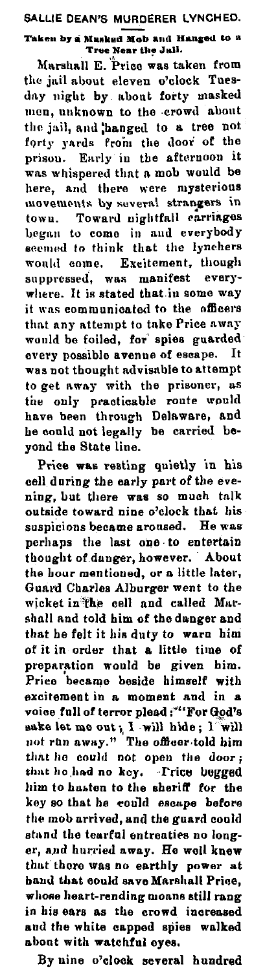SALLIE DEAN'S MURDERER LYNCHED. Taken by a Masked Mob and Hanged to a Tree Near the Juli.

Marshall E. Price was taken from the jail about eleven o'clock Tuesday night by about forty masked men, unknown to the crowd about the jail, and hanged to a tree not forty yards from the door of the prison. Early in the afternoon it was whispered that a mob would be here, and there were mysterious movements by several strangers in town. Toward nightfall carriages began to come in and everybody seemed to think that the lynchers would come. Excitement, though suppressed, was manifest everywhere. It is stated that in some way it was communicated to the officers that any attempt to take Price away would be foiled, for spies guarded every possible avenue of escape. It was not thought advisable to attempt to get away with the prisoner, as the only practicable route would have been through Delaware, and he could not legally be carried bevond the State line.

Price was resting quietly in his cell during the early part of the evening, but there was so much talk outside toward nine o'clock that his suspicions became aroused. He was perhaps the last one to entertain<br>thought of danger, however. About the hour mentioned, or a little later, Guard Charles Alburger went to the wicket in the cell and called Marshall and told him of the danger and that he felt it his duty to warn him of it in order that a little time of preparation would be given him. Price became beside himself with excitement in a moment and in a voice full of terror plead:""For God's sake let me out; I will hide; I will<br>not run away." The officer told him that he could not open the door; that he had no key. Frice begged him to hasten to the sheriff for the key so that he could escape before the mob arrived, and the guard could stand the tearful entreaties no longer, and hurried away. He well knew that there was no earthly power at hand that could save Marshall Price, whose heart-rending moans still rang in his ears as the crowd increased and the white capped spies walked about with watchful eyes.

By nine o'clock several hundred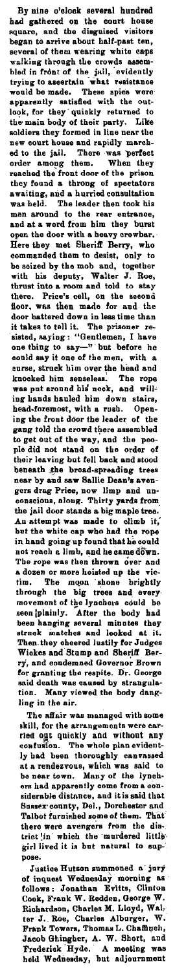By nine o'clock several hundred had gathered on the court house<br>square, and the disguised visitors<br>began to arrive about half-past ten,<br>several of them wearing white caps walking through the crowds assem-<br>bled in front of the jail, evidently trying to ascertain what resistance would be made. These spies were apparenlly eatieded with the outlook, for they· quickly returned to the main body of their party. Like •oldiers Ibey formed in line near the new court house and rapidly march-ed to the jail. There -was perfect order amoug them. When they<br>reached the front door of the prison they found a throng of spectators awaiting, and a hurried consultation was held. The leader then took his men around to the rear entrance,<br>and at a word from him they burst<br>open the door with a heavy crowbar. Here they met Sheriff: Berry, who commanded them to desist, only lo be seized by the mob and, together with bis deputy, Walter J. Roe, thrust into **a** room and told to otay there. Price's cell, on the second floor, w1u then **made** for and the door battered down in less time than it takes to tell it. The prisoner resisted, saying: "Gentlemen, I have<br>one thing to say—" but before he could say it one of the men, with a curse, struck him over the bead and knocked him senseless. The rope<br>was put around his neck, and will-<br>ing hands hauled him down stairs, head-foremost, with a rush. Open-<br>ing the front door the leader of the<br>gang told the crowd there assembled<br>to get out of the way, and the peo-<br>ple did not stand on the order of their leaving but fell **back and** stood beneath the broad-spreading trees near by and saw Bailie Dean's avengers drag Priee, now limp and nn-oonsoions, along. Thirty yards from the jail door stands a big maple tree." An attempt was made to climb it,<br>but the white cap who had the rope<br>in hand going up found that he could not reach a limb, and he came down.<br>The rope was then thrown over and a dozen or more hoisted up the vic-<br>tim. The moon shone brightly through the big trees and\_ everymovement of the lynchers could be seen *plainly*. After the body had been hanging several minutes they<br>struck matches and looked at it.<br>Then they cheered lustily for Judges<br>Wickes and Stump and Sheriff Berry, and condemned Governor Brown<br>for granting the respite. Dr. George<br>said death was caused by strangula-<br>tion. Many viewed the body dangling in the air.

The affair was managed with some skill, for the arrangements were car-<br>ried out quickly and without any<br>confusion. The whole plan evidently bad been tborougbly canvassed nt a rendezvous, which was said to<br>be near town. Many of the lyneh-<br>ers had apparently come from a eon-<br>siderable distance, and it is said that Sussex county, Del., Dorchester and<br>Talbot furnished some of them. That there were avengers from the dis-<br>trict in which the murdered little<br>girl lived it is but natural to suppose.

Justice Hutson summoned a jury<br>of inquest Wednesday morning as<br>follows: Jonathan Evitts, Clinton<br>Cook, Frank W. Redden, George W. Richardson, Charles M. Lloyd, Wal-<br>ter J. Roe, Charles Albarger, W.<br>Frank Towers, Thomas L. Chaffinch,<br>Jacob Ghingher, A. W. Short, and Frederick Hyde. A meeting was<br>held Wednesday, but adjournment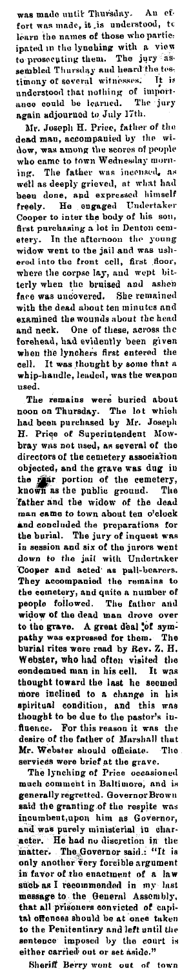was made until Thursday. An<br>fort was made, it is understood,  $\frac{ef}{t}$  $\mathbf{t}$ learn the names of those who partieiearn the names of those who partie.<br>
ipated in the lynching with a view<br>
to prosecuting them. The jury as<br>
sembled Thursday and heard the test<br>
timony of soveral witnesses. It is<br>
understood that nothing of import-<br>
ance

again aujourned to only 17th.<br>
Mr. Joseph H. Price, father of the<br>
dead man, accompanied by the wi-<br>
dow, was among the scores of people<br>
who came to town Wednesday morning.<br>
The father was incensed, as<br>
well as deeply gri been as deeply grieved, at what made<br>been done, and expressed himself<br>freely. He ongaged Undertaker<br>Cooper to inter the body of his son,<br>first purchasing a lot in Denton cem-<br>etery. In the afternoon the young<br>widow went to where the corpse lay, and wept bitterly when the bruised and ashen face was uncovered. She remained with the dead about ten minutes and examined the wounds about the head examples. One of these, across ...<br>
and neck. One of these, across ...<br>
forehead, had evidently been given<br>
when the lynchers first entered the<br>
cell. It was thought by some that a<br>
state weapon<br>
called, was the weapon whip-handle, leaded, was the weapon

The remains were buried about<br>noon on Thursday. The lot which<br>had been purchased by Mr. Joseph H. Price of Superintendent Mow-<br>bray was not used, as several of the bray was not used, as several of the<br>directors of the cemetery association<br>objected, and the grave was dug in<br>the real portion of the cemetery,<br>known as the public ground. The<br>father and the widow of the deal when man came to town about ten o'clock man came to town about ten o'clock<br>
and coorduded the proparations for<br>
the burial. The jury of inquest was<br>
in session and six of the jurors went<br>
down to the jail with Undertaker<br>
Cooper and acted as pall-bearers.<br>
They They accompanied the remains to<br>the centery, and quite a number of<br>people followed. The faither and<br>widow of the dead man drove over<br>to the grave. A great deal  $\frac{1}{2}$ <br>of sym-<br>pathy was expressed for them. The<br>burial rit fluence. For this reason it was the desire of the father of Marshall that

Mr. Webster should officiate. The<br>services were brief at the grave.<br>The lynching of Price occasioned<br>much comment in Baltimore, and is much comment in Baltimore, and is<br>
generally regretted. Governo Brown<br>
said the granting of the respite was<br>
incumbent, upon him as Governor,<br>
and was purely ministerial in character. He had no discretion in the<br>
matter. T in favor of the enactment of a law<br>such as I recommended in my last message to the General Assembly,<br>that all prisoners convicted of capital offences should be at once taken to the Penitentiary and left until the<br>sentence imposed by the court is<br>either carried out or set aside."

Sheriff Berry went out of town